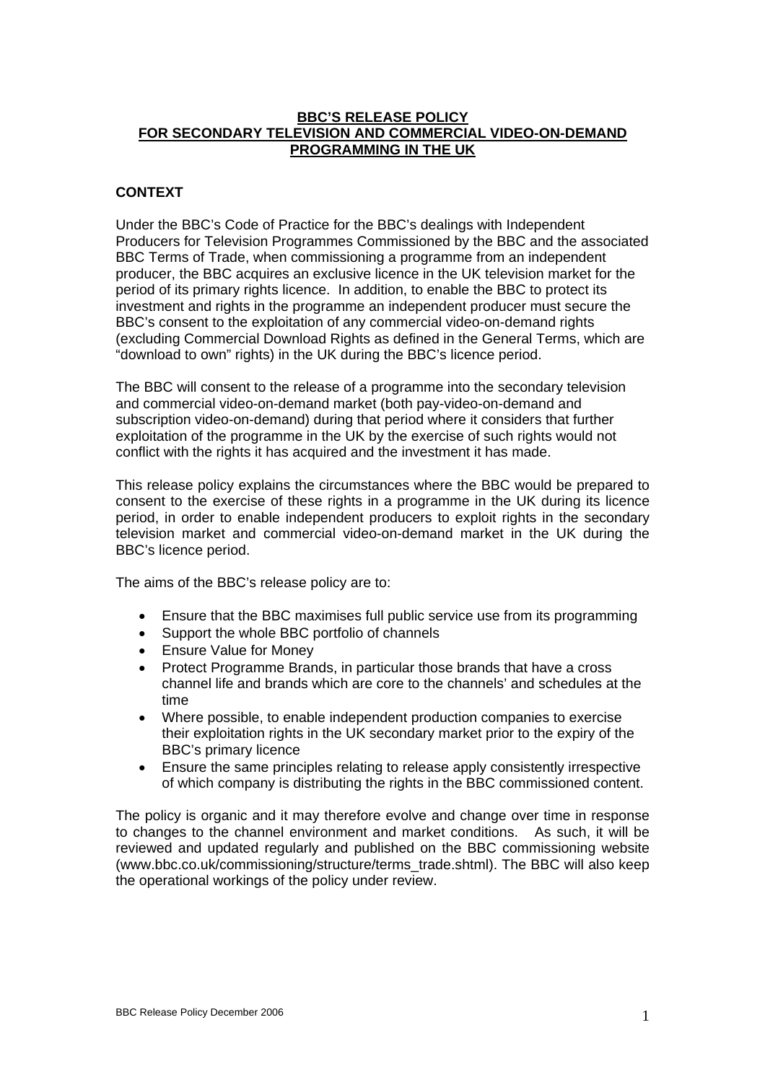#### **BBC'S RELEASE POLICY FOR SECONDARY TELEVISION AND COMMERCIAL VIDEO-ON-DEMAND PROGRAMMING IN THE UK**

## **CONTEXT**

Under the BBC's Code of Practice for the BBC's dealings with Independent Producers for Television Programmes Commissioned by the BBC and the associated BBC Terms of Trade, when commissioning a programme from an independent producer, the BBC acquires an exclusive licence in the UK television market for the period of its primary rights licence. In addition, to enable the BBC to protect its investment and rights in the programme an independent producer must secure the BBC's consent to the exploitation of any commercial video-on-demand rights (excluding Commercial Download Rights as defined in the General Terms, which are "download to own" rights) in the UK during the BBC's licence period.

The BBC will consent to the release of a programme into the secondary television and commercial video-on-demand market (both pay-video-on-demand and subscription video-on-demand) during that period where it considers that further exploitation of the programme in the UK by the exercise of such rights would not conflict with the rights it has acquired and the investment it has made.

This release policy explains the circumstances where the BBC would be prepared to consent to the exercise of these rights in a programme in the UK during its licence period, in order to enable independent producers to exploit rights in the secondary television market and commercial video-on-demand market in the UK during the BBC's licence period.

The aims of the BBC's release policy are to:

- Ensure that the BBC maximises full public service use from its programming
- Support the whole BBC portfolio of channels
- Ensure Value for Money
- Protect Programme Brands, in particular those brands that have a cross channel life and brands which are core to the channels' and schedules at the time
- Where possible, to enable independent production companies to exercise their exploitation rights in the UK secondary market prior to the expiry of the BBC's primary licence
- Ensure the same principles relating to release apply consistently irrespective of which company is distributing the rights in the BBC commissioned content.

The policy is organic and it may therefore evolve and change over time in response to changes to the channel environment and market conditions. As such, it will be reviewed and updated regularly and published on the BBC commissioning website (www.bbc.co.uk/commissioning/structure/terms\_trade.shtml). The BBC will also keep the operational workings of the policy under review.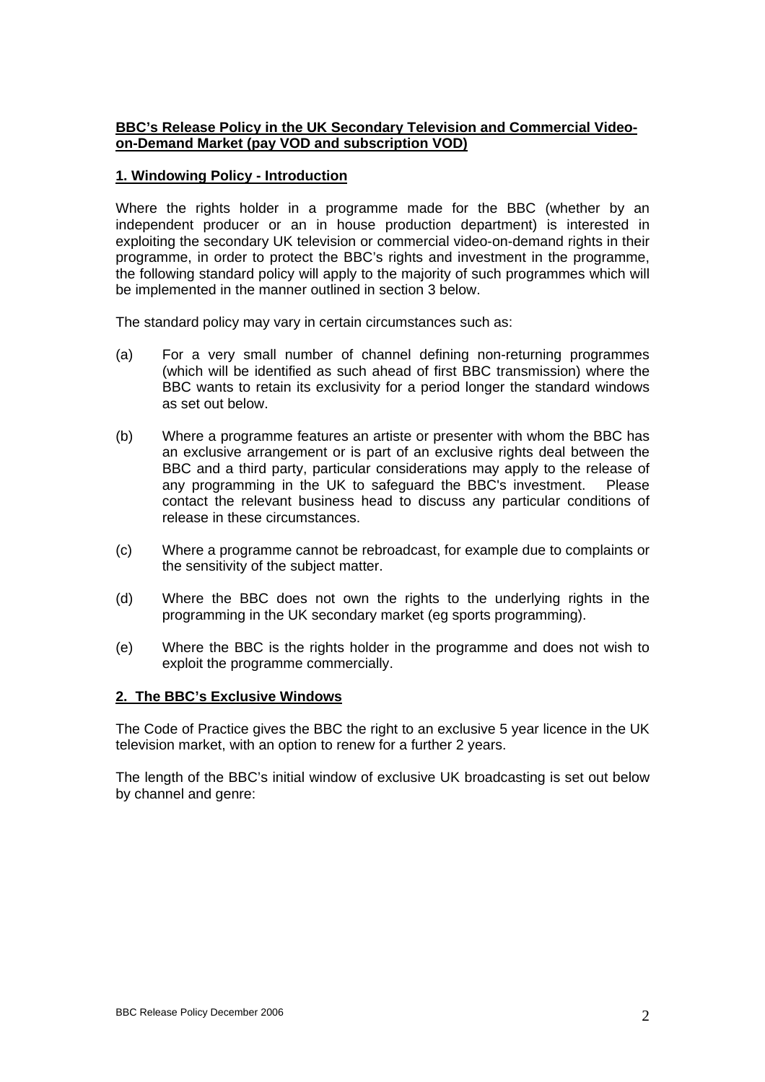# **BBC's Release Policy in the UK Secondary Television and Commercial Videoon-Demand Market (pay VOD and subscription VOD)**

# **1. Windowing Policy - Introduction**

Where the rights holder in a programme made for the BBC (whether by an independent producer or an in house production department) is interested in exploiting the secondary UK television or commercial video-on-demand rights in their programme, in order to protect the BBC's rights and investment in the programme, the following standard policy will apply to the majority of such programmes which will be implemented in the manner outlined in section 3 below.

The standard policy may vary in certain circumstances such as:

- (a) For a very small number of channel defining non-returning programmes (which will be identified as such ahead of first BBC transmission) where the BBC wants to retain its exclusivity for a period longer the standard windows as set out below.
- (b) Where a programme features an artiste or presenter with whom the BBC has an exclusive arrangement or is part of an exclusive rights deal between the BBC and a third party, particular considerations may apply to the release of any programming in the UK to safeguard the BBC's investment. Please contact the relevant business head to discuss any particular conditions of release in these circumstances.
- (c) Where a programme cannot be rebroadcast, for example due to complaints or the sensitivity of the subject matter.
- (d) Where the BBC does not own the rights to the underlying rights in the programming in the UK secondary market (eg sports programming).
- (e) Where the BBC is the rights holder in the programme and does not wish to exploit the programme commercially.

# **2. The BBC's Exclusive Windows**

The Code of Practice gives the BBC the right to an exclusive 5 year licence in the UK television market, with an option to renew for a further 2 years.

The length of the BBC's initial window of exclusive UK broadcasting is set out below by channel and genre: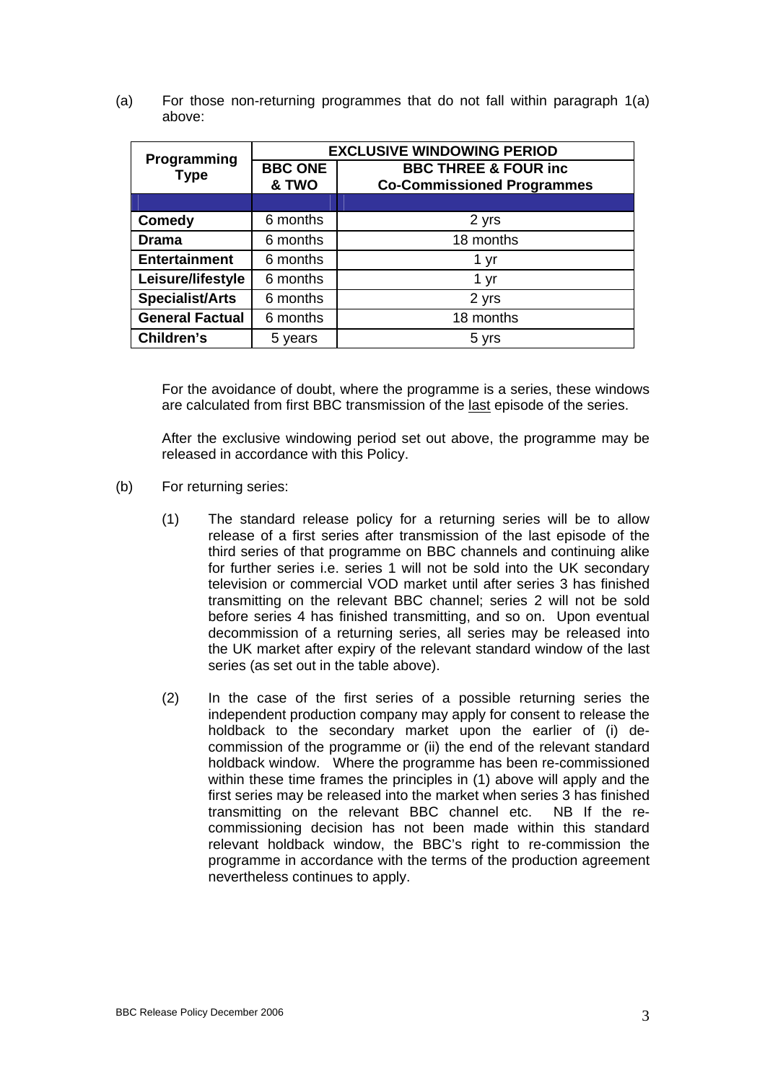(a) For those non-returning programmes that do not fall within paragraph 1(a) above:

| Programming<br><b>Type</b> | <b>EXCLUSIVE WINDOWING PERIOD</b> |                                   |  |
|----------------------------|-----------------------------------|-----------------------------------|--|
|                            | <b>BBC ONE</b>                    | <b>BBC THREE &amp; FOUR inc</b>   |  |
|                            | & TWO                             | <b>Co-Commissioned Programmes</b> |  |
|                            |                                   |                                   |  |
| <b>Comedy</b>              | 6 months                          | 2 yrs                             |  |
| <b>Drama</b>               | 6 months                          | 18 months                         |  |
| <b>Entertainment</b>       | 6 months                          | 1 yr                              |  |
| Leisure/lifestyle          | 6 months                          | 1 yr                              |  |
| <b>Specialist/Arts</b>     | 6 months                          | 2 yrs                             |  |
| <b>General Factual</b>     | 6 months                          | 18 months                         |  |
| <b>Children's</b>          | 5 years                           | 5 yrs                             |  |

For the avoidance of doubt, where the programme is a series, these windows are calculated from first BBC transmission of the last episode of the series.

After the exclusive windowing period set out above, the programme may be released in accordance with this Policy.

- (b) For returning series:
	- (1) The standard release policy for a returning series will be to allow release of a first series after transmission of the last episode of the third series of that programme on BBC channels and continuing alike for further series i.e. series 1 will not be sold into the UK secondary television or commercial VOD market until after series 3 has finished transmitting on the relevant BBC channel; series 2 will not be sold before series 4 has finished transmitting, and so on. Upon eventual decommission of a returning series, all series may be released into the UK market after expiry of the relevant standard window of the last series (as set out in the table above).
	- (2) In the case of the first series of a possible returning series the independent production company may apply for consent to release the holdback to the secondary market upon the earlier of (i) decommission of the programme or (ii) the end of the relevant standard holdback window. Where the programme has been re-commissioned within these time frames the principles in (1) above will apply and the first series may be released into the market when series 3 has finished transmitting on the relevant BBC channel etc. NB If the recommissioning decision has not been made within this standard relevant holdback window, the BBC's right to re-commission the programme in accordance with the terms of the production agreement nevertheless continues to apply.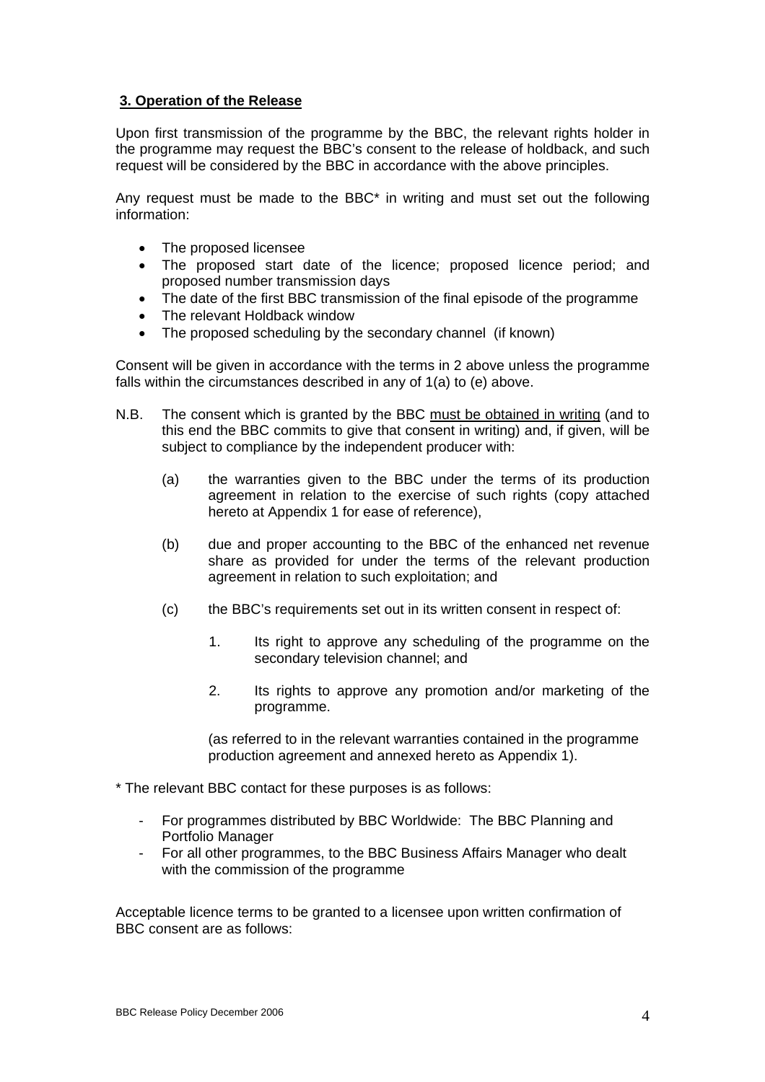# **3. Operation of the Release**

Upon first transmission of the programme by the BBC, the relevant rights holder in the programme may request the BBC's consent to the release of holdback, and such request will be considered by the BBC in accordance with the above principles.

Any request must be made to the BBC\* in writing and must set out the following information:

- The proposed licensee
- The proposed start date of the licence; proposed licence period; and proposed number transmission days
- The date of the first BBC transmission of the final episode of the programme
- The relevant Holdback window
- The proposed scheduling by the secondary channel (if known)

Consent will be given in accordance with the terms in 2 above unless the programme falls within the circumstances described in any of 1(a) to (e) above.

- N.B. The consent which is granted by the BBC must be obtained in writing (and to this end the BBC commits to give that consent in writing) and, if given, will be subject to compliance by the independent producer with:
	- (a) the warranties given to the BBC under the terms of its production agreement in relation to the exercise of such rights (copy attached hereto at Appendix 1 for ease of reference),
	- (b) due and proper accounting to the BBC of the enhanced net revenue share as provided for under the terms of the relevant production agreement in relation to such exploitation; and
	- (c) the BBC's requirements set out in its written consent in respect of:
		- 1. Its right to approve any scheduling of the programme on the secondary television channel; and
		- 2. Its rights to approve any promotion and/or marketing of the programme.

(as referred to in the relevant warranties contained in the programme production agreement and annexed hereto as Appendix 1).

\* The relevant BBC contact for these purposes is as follows:

- For programmes distributed by BBC Worldwide: The BBC Planning and Portfolio Manager
- For all other programmes, to the BBC Business Affairs Manager who dealt with the commission of the programme

Acceptable licence terms to be granted to a licensee upon written confirmation of BBC consent are as follows: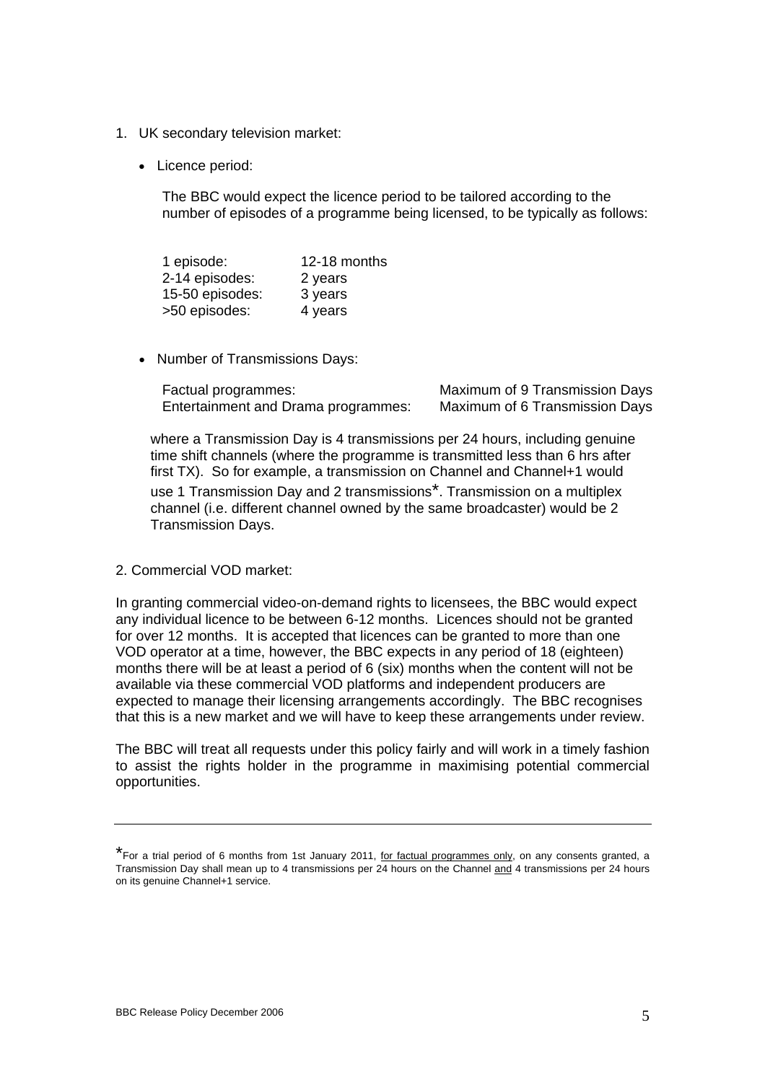- 1. UK secondary television market:
	- Licence period:

The BBC would expect the licence period to be tailored according to the number of episodes of a programme being licensed, to be typically as follows:

| 1 episode:      | 12-18 months |
|-----------------|--------------|
| 2-14 episodes:  | 2 years      |
| 15-50 episodes: | 3 years      |
| >50 episodes:   | 4 years      |

• Number of Transmissions Days:

| Factual programmes:                 | Maximum of 9 Transmission Days |
|-------------------------------------|--------------------------------|
| Entertainment and Drama programmes: | Maximum of 6 Transmission Days |

where a Transmission Day is 4 transmissions per 24 hours, including genuine time shift channels (where the programme is transmitted less than 6 hrs after first TX). So for example, a transmission on Channel and Channel+1 would use 1 Transmission Day and 2 transmissions\*. Transmission on a multiplex channel (i.e. different channel owned by the same broadcaster) would be 2 Transmission Days.

2. Commercial VOD market:

In granting commercial video-on-demand rights to licensees, the BBC would expect any individual licence to be between 6-12 months. Licences should not be granted for over 12 months. It is accepted that licences can be granted to more than one VOD operator at a time, however, the BBC expects in any period of 18 (eighteen) months there will be at least a period of 6 (six) months when the content will not be available via these commercial VOD platforms and independent producers are expected to manage their licensing arrangements accordingly. The BBC recognises that this is a new market and we will have to keep these arrangements under review.

The BBC will treat all requests under this policy fairly and will work in a timely fashion to assist the rights holder in the programme in maximising potential commercial opportunities.

<sup>\*</sup>For a trial period of 6 months from 1st January 2011, for factual programmes only, on any consents granted, a Transmission Day shall mean up to 4 transmissions per 24 hours on the Channel and 4 transmissions per 24 hours on its genuine Channel+1 service.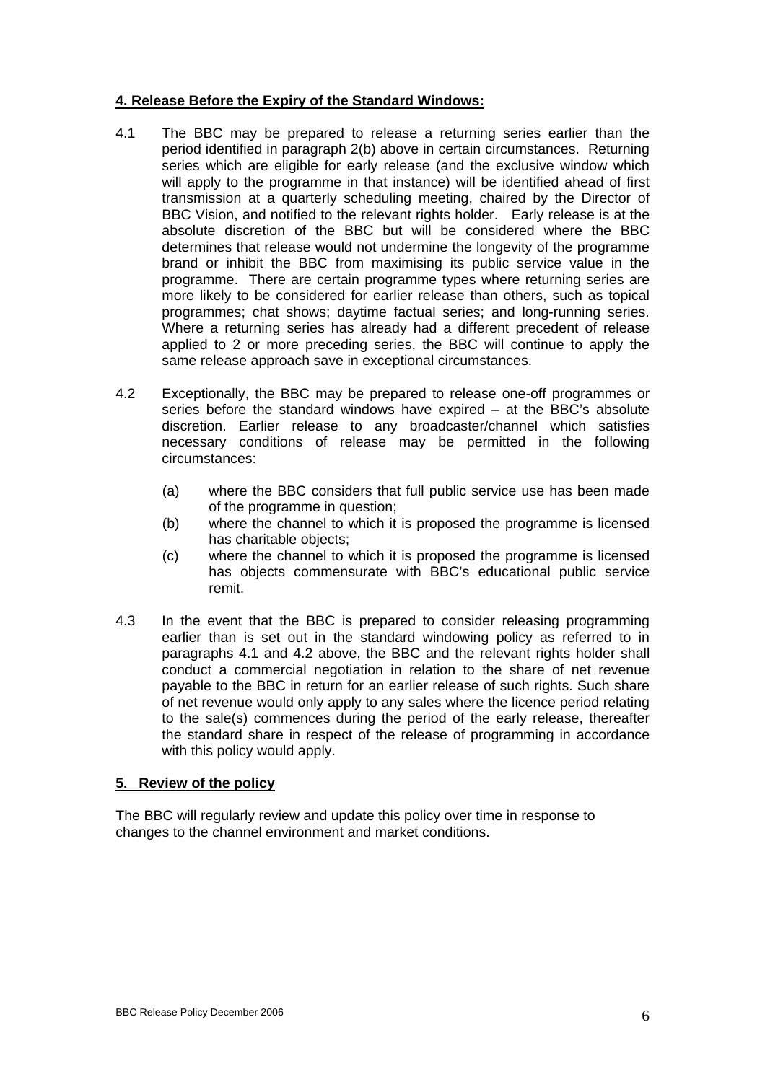# **4. Release Before the Expiry of the Standard Windows:**

- 4.1 The BBC may be prepared to release a returning series earlier than the period identified in paragraph 2(b) above in certain circumstances. Returning series which are eligible for early release (and the exclusive window which will apply to the programme in that instance) will be identified ahead of first transmission at a quarterly scheduling meeting, chaired by the Director of BBC Vision, and notified to the relevant rights holder. Early release is at the absolute discretion of the BBC but will be considered where the BBC determines that release would not undermine the longevity of the programme brand or inhibit the BBC from maximising its public service value in the programme. There are certain programme types where returning series are more likely to be considered for earlier release than others, such as topical programmes; chat shows; daytime factual series; and long-running series. Where a returning series has already had a different precedent of release applied to 2 or more preceding series, the BBC will continue to apply the same release approach save in exceptional circumstances.
- 4.2 Exceptionally, the BBC may be prepared to release one-off programmes or series before the standard windows have expired – at the BBC's absolute discretion. Earlier release to any broadcaster/channel which satisfies necessary conditions of release may be permitted in the following circumstances:
	- (a) where the BBC considers that full public service use has been made of the programme in question;
	- (b) where the channel to which it is proposed the programme is licensed has charitable objects;
	- (c) where the channel to which it is proposed the programme is licensed has objects commensurate with BBC's educational public service remit.
- 4.3 In the event that the BBC is prepared to consider releasing programming earlier than is set out in the standard windowing policy as referred to in paragraphs 4.1 and 4.2 above, the BBC and the relevant rights holder shall conduct a commercial negotiation in relation to the share of net revenue payable to the BBC in return for an earlier release of such rights. Such share of net revenue would only apply to any sales where the licence period relating to the sale(s) commences during the period of the early release, thereafter the standard share in respect of the release of programming in accordance with this policy would apply.

#### **5. Review of the policy**

The BBC will regularly review and update this policy over time in response to changes to the channel environment and market conditions.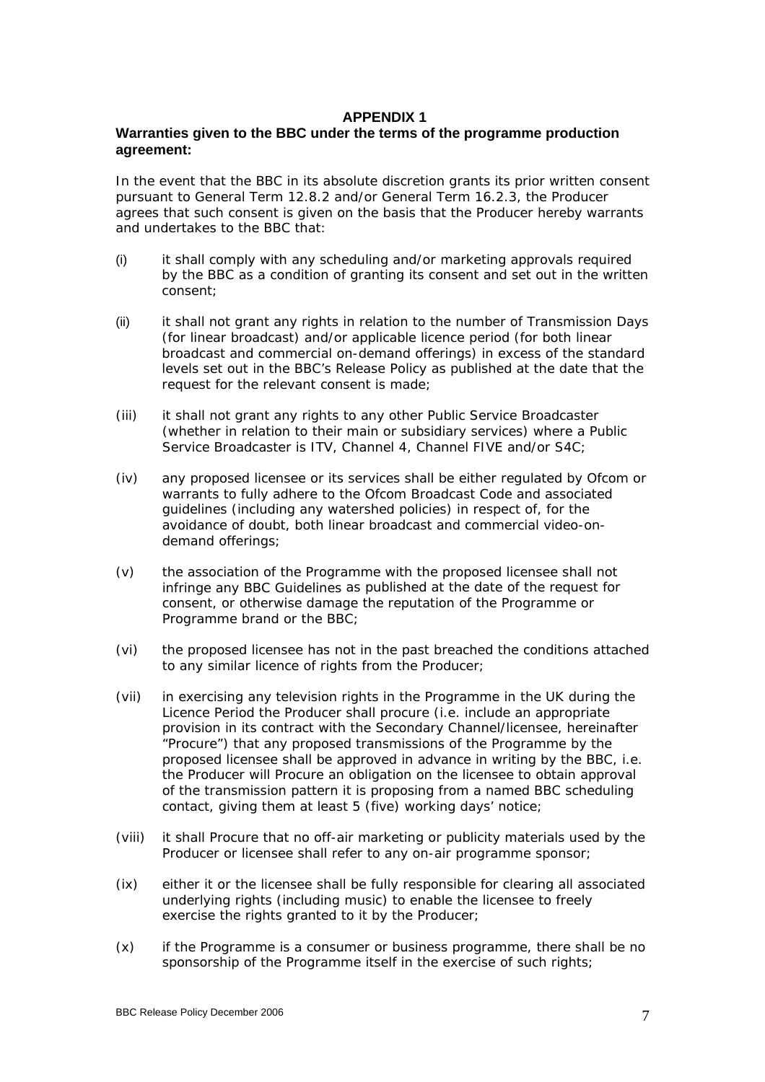### **APPENDIX 1**

## **Warranties given to the BBC under the terms of the programme production agreement:**

In the event that the BBC in its absolute discretion grants its prior written consent pursuant to General Term 12.8.2 and/or General Term 16.2.3, the Producer agrees that such consent is given on the basis that the Producer hereby warrants and undertakes to the BBC that:

- (i) it shall comply with any scheduling and/or marketing approvals required by the BBC as a condition of granting its consent and set out in the written consent;
- (ii) it shall not grant any rights in relation to the number of Transmission Days (for linear broadcast) and/or applicable licence period (for both linear broadcast and commercial on-demand offerings) in excess of the standard levels set out in the BBC's Release Policy as published at the date that the request for the relevant consent is made;
- (iii) it shall not grant any rights to any other Public Service Broadcaster (whether in relation to their main or subsidiary services) where a Public Service Broadcaster is ITV, Channel 4, Channel FIVE and/or S4C;
- (iv) any proposed licensee or its services shall be either regulated by Ofcom or warrants to fully adhere to the Ofcom Broadcast Code and associated guidelines (including any watershed policies) in respect of, for the avoidance of doubt, both linear broadcast and commercial video-ondemand offerings;
- (v) the association of the Programme with the proposed licensee shall not infringe any BBC Guidelines as published at the date of the request for consent, or otherwise damage the reputation of the Programme or Programme brand or the BBC;
- (vi) the proposed licensee has not in the past breached the conditions attached to any similar licence of rights from the Producer;
- (vii) in exercising any television rights in the Programme in the UK during the Licence Period the Producer shall procure (i.e. include an appropriate provision in its contract with the Secondary Channel/licensee, hereinafter "Procure") that any proposed transmissions of the Programme by the proposed licensee shall be approved in advance in writing by the BBC, i.e. the Producer will Procure an obligation on the licensee to obtain approval of the transmission pattern it is proposing from a named BBC scheduling contact, giving them *at least* 5 (five) working days' notice;
- (viii) it shall Procure that no off-air marketing or publicity materials used by the Producer or licensee shall refer to any on-air programme sponsor;
- (ix) either it or the licensee shall be fully responsible for clearing all associated underlying rights (including music) to enable the licensee to freely exercise the rights granted to it by the Producer;
- (x) if the Programme is a consumer or business programme, there shall be no sponsorship of the Programme itself in the exercise of such rights;